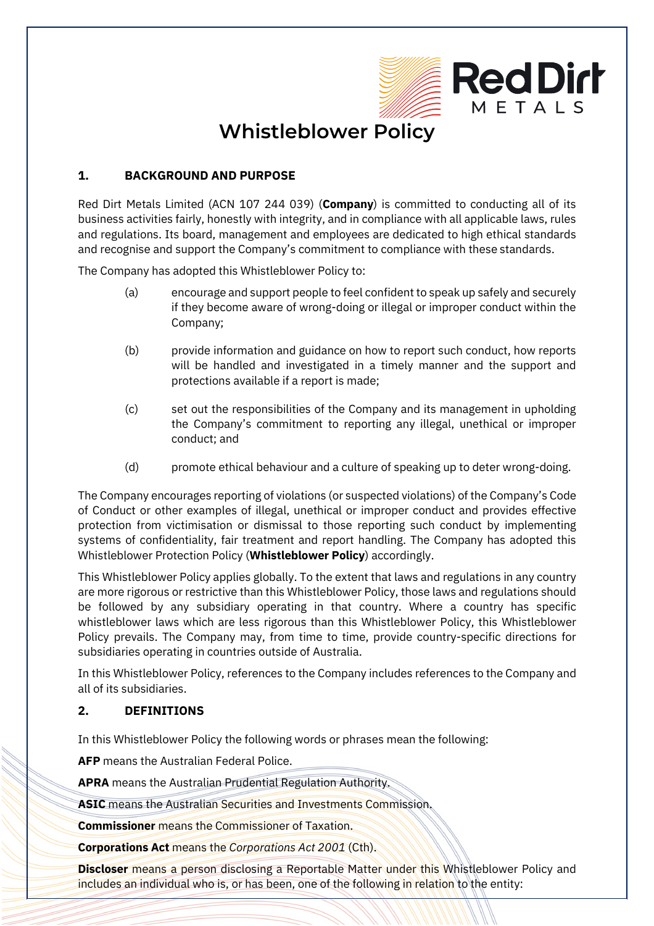

# **Whistleblower Policy**

## **1. BACKGROUND AND PURPOSE**

Red Dirt Metals Limited (ACN 107 244 039) (**Company**) is committed to conducting all of its business activities fairly, honestly with integrity, and in compliance with all applicable laws, rules and regulations. Its board, management and employees are dedicated to high ethical standards and recognise and support the Company's commitment to compliance with these standards.

The Company has adopted this Whistleblower Policy to:

- (a) encourage and support people to feel confident to speak up safely and securely if they become aware of wrong-doing or illegal or improper conduct within the Company;
- (b) provide information and guidance on how to report such conduct, how reports will be handled and investigated in a timely manner and the support and protections available if a report is made;
- (c) set out the responsibilities of the Company and its management in upholding the Company's commitment to reporting any illegal, unethical or improper conduct; and
- (d) promote ethical behaviour and a culture of speaking up to deter wrong-doing.

The Company encourages reporting of violations (or suspected violations) of the Company's Code of Conduct or other examples of illegal, unethical or improper conduct and provides effective protection from victimisation or dismissal to those reporting such conduct by implementing systems of confidentiality, fair treatment and report handling. The Company has adopted this Whistleblower Protection Policy (**Whistleblower Policy**) accordingly.

This Whistleblower Policy applies globally. To the extent that laws and regulations in any country are more rigorous or restrictive than this Whistleblower Policy, those laws and regulations should be followed by any subsidiary operating in that country. Where a country has specific whistleblower laws which are less rigorous than this Whistleblower Policy, this Whistleblower Policy prevails. The Company may, from time to time, provide country-specific directions for subsidiaries operating in countries outside of Australia.

In this Whistleblower Policy, references to the Company includes references to the Company and all of its subsidiaries.

#### **2. DEFINITIONS**

In this Whistleblower Policy the following words or phrases mean the following:

**AFP** means the Australian Federal Police.

**APRA** means the Australian Prudential Regulation Authority.

**ASIC** means the Australian Securities and Investments Commission.

**Commissioner** means the Commissioner of Taxation.

**Corporations Act** means the *Corporations Act 2001* (Cth).

**Discloser** means a person disclosing a Reportable Matter under this Whistleblower Policy and includes an individual who is, or has been, one of the following in relation to the entity: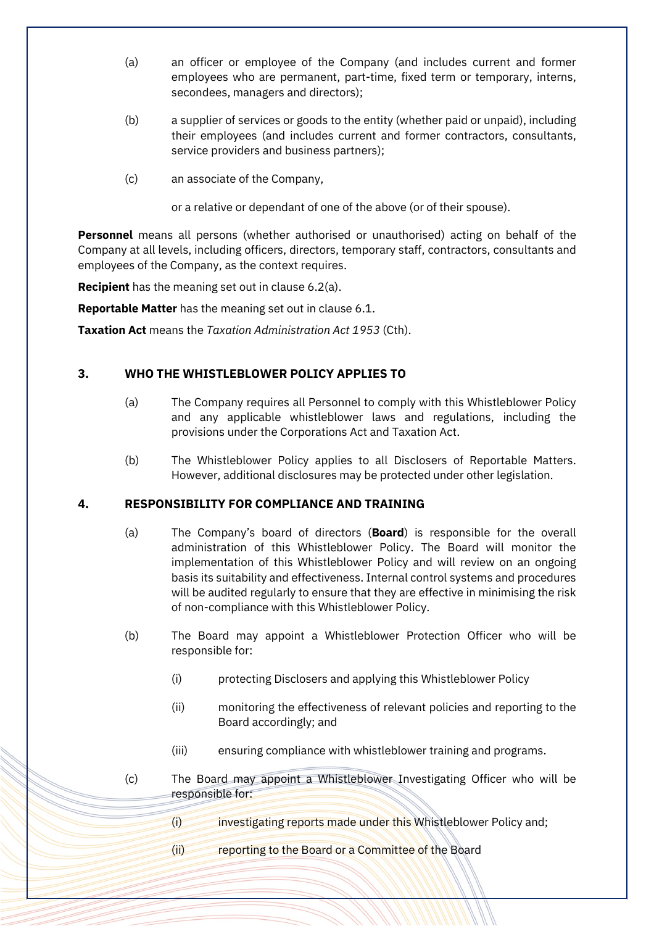- (a) an officer or employee of the Company (and includes current and former employees who are permanent, part-time, fixed term or temporary, interns, secondees, managers and directors);
- (b) a supplier of services or goods to the entity (whether paid or unpaid), including their employees (and includes current and former contractors, consultants, service providers and business partners);
- (c) an associate of the Company,

or a relative or dependant of one of the above (or of their spouse).

**Personnel** means all persons (whether authorised or unauthorised) acting on behalf of the Company at all levels, including officers, directors, temporary staff, contractors, consultants and employees of the Company, as the context requires.

**Recipient** has the meaning set out in clause [6.2\(a\).](#page-4-0)

**Reportable Matter** has the meaning set out in clause [6.1.](#page-2-0)

**Taxation Act** means the *Taxation Administration Act 1953* (Cth).

## **3. WHO THE WHISTLEBLOWER POLICY APPLIES TO**

- (a) The Company requires all Personnel to comply with this Whistleblower Policy and any applicable whistleblower laws and regulations, including the provisions under the Corporations Act and Taxation Act.
- (b) The Whistleblower Policy applies to all Disclosers of Reportable Matters. However, additional disclosures may be protected under other legislation.

#### **4. RESPONSIBILITY FOR COMPLIANCE AND TRAINING**

- (a) The Company's board of directors (**Board**) is responsible for the overall administration of this Whistleblower Policy. The Board will monitor the implementation of this Whistleblower Policy and will review on an ongoing basis its suitability and effectiveness. Internal control systems and procedures will be audited regularly to ensure that they are effective in minimising the risk of non-compliance with this Whistleblower Policy.
- (b) The Board may appoint a Whistleblower Protection Officer who will be responsible for:
	- (i) protecting Disclosers and applying this Whistleblower Policy
	- (ii) monitoring the effectiveness of relevant policies and reporting to the Board accordingly; and
	- (iii) ensuring compliance with whistleblower training and programs.
- (c) The Board may appoint a Whistleblower Investigating Officer who will be responsible for:
	- (i) investigating reports made under this Whistleblower Policy and;
	- (ii) reporting to the Board or a Committee of the Board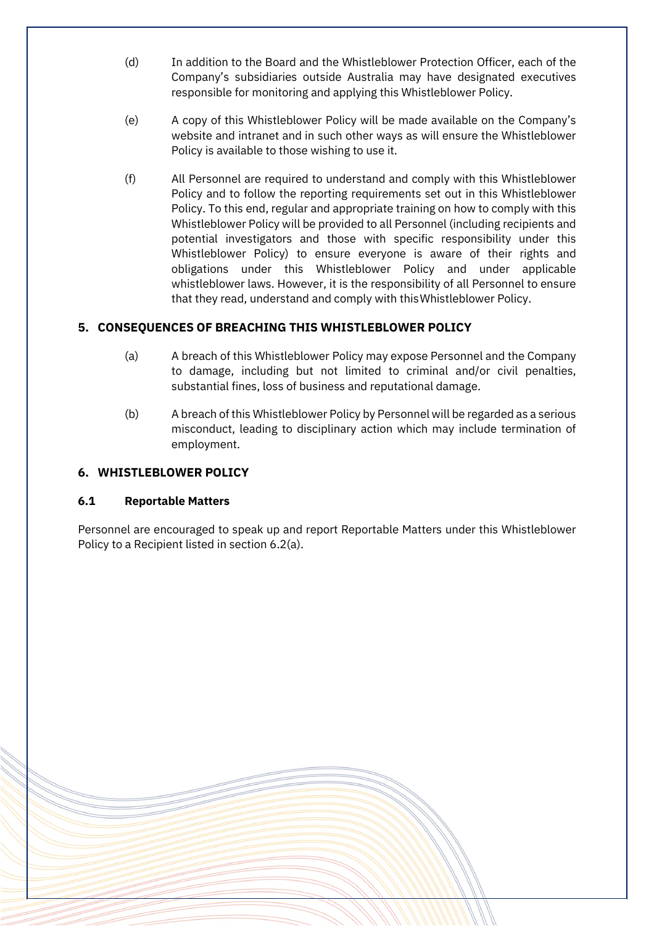- (d) In addition to the Board and the Whistleblower Protection Officer, each of the Company's subsidiaries outside Australia may have designated executives responsible for monitoring and applying this Whistleblower Policy.
- (e) A copy of this Whistleblower Policy will be made available on the Company's website and intranet and in such other ways as will ensure the Whistleblower Policy is available to those wishing to use it.
- (f) All Personnel are required to understand and comply with this Whistleblower Policy and to follow the reporting requirements set out in this Whistleblower Policy. To this end, regular and appropriate training on how to comply with this Whistleblower Policy will be provided to all Personnel (including recipients and potential investigators and those with specific responsibility under this Whistleblower Policy) to ensure everyone is aware of their rights and obligations under this Whistleblower Policy and under applicable whistleblower laws. However, it is the responsibility of all Personnel to ensure that they read, understand and comply with thisWhistleblower Policy.

# **5. CONSEQUENCES OF BREACHING THIS WHISTLEBLOWER POLICY**

- (a) A breach of this Whistleblower Policy may expose Personnel and the Company to damage, including but not limited to criminal and/or civil penalties, substantial fines, loss of business and reputational damage.
- (b) A breach of this Whistleblower Policy by Personnel will be regarded as a serious misconduct, leading to disciplinary action which may include termination of employment.

# **6. WHISTLEBLOWER POLICY**

#### <span id="page-2-0"></span>**6.1 Reportable Matters**

Personnel are encouraged to speak up and report Reportable Matters under this Whistleblower Policy to a Recipient listed in sectio[n 6.2\(a\).](#page-4-0)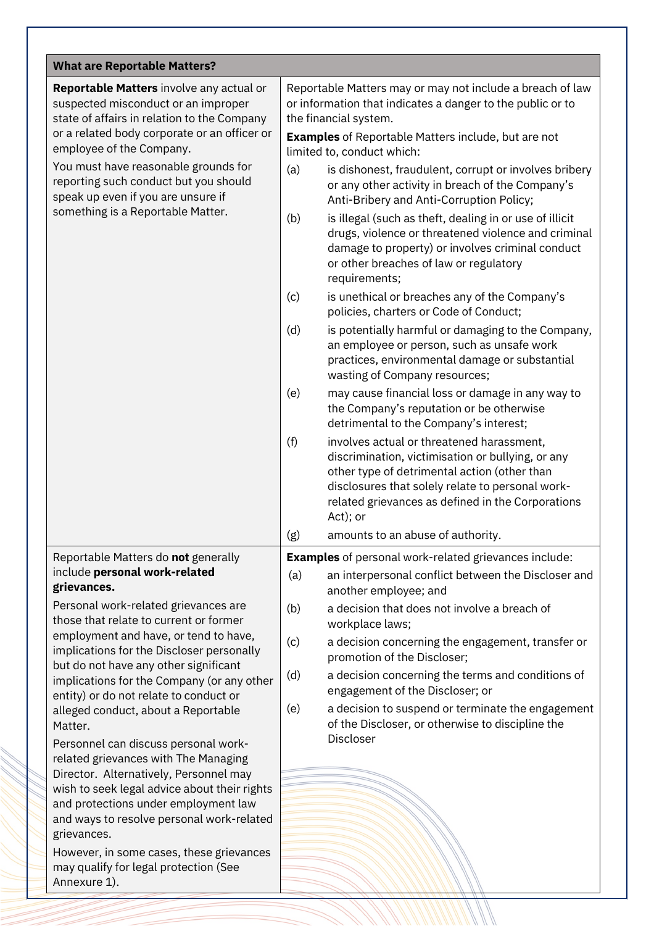| <b>What are Reportable Matters?</b>                                                                                                                                                                                                                                                                                                                     |                                                                                                                                                                                                                                                                            |
|---------------------------------------------------------------------------------------------------------------------------------------------------------------------------------------------------------------------------------------------------------------------------------------------------------------------------------------------------------|----------------------------------------------------------------------------------------------------------------------------------------------------------------------------------------------------------------------------------------------------------------------------|
| Reportable Matters involve any actual or<br>suspected misconduct or an improper<br>state of affairs in relation to the Company<br>or a related body corporate or an officer or                                                                                                                                                                          | Reportable Matters may or may not include a breach of law<br>or information that indicates a danger to the public or to<br>the financial system.<br><b>Examples</b> of Reportable Matters include, but are not                                                             |
| employee of the Company.                                                                                                                                                                                                                                                                                                                                | limited to, conduct which:                                                                                                                                                                                                                                                 |
| You must have reasonable grounds for<br>reporting such conduct but you should<br>speak up even if you are unsure if<br>something is a Reportable Matter.                                                                                                                                                                                                | (a)<br>is dishonest, fraudulent, corrupt or involves bribery<br>or any other activity in breach of the Company's<br>Anti-Bribery and Anti-Corruption Policy;                                                                                                               |
|                                                                                                                                                                                                                                                                                                                                                         | (b)<br>is illegal (such as theft, dealing in or use of illicit<br>drugs, violence or threatened violence and criminal<br>damage to property) or involves criminal conduct<br>or other breaches of law or regulatory<br>requirements;                                       |
|                                                                                                                                                                                                                                                                                                                                                         | (c)<br>is unethical or breaches any of the Company's<br>policies, charters or Code of Conduct;                                                                                                                                                                             |
|                                                                                                                                                                                                                                                                                                                                                         | (d)<br>is potentially harmful or damaging to the Company,<br>an employee or person, such as unsafe work<br>practices, environmental damage or substantial<br>wasting of Company resources;                                                                                 |
|                                                                                                                                                                                                                                                                                                                                                         | (e)<br>may cause financial loss or damage in any way to<br>the Company's reputation or be otherwise<br>detrimental to the Company's interest;                                                                                                                              |
|                                                                                                                                                                                                                                                                                                                                                         | (f)<br>involves actual or threatened harassment,<br>discrimination, victimisation or bullying, or any<br>other type of detrimental action (other than<br>disclosures that solely relate to personal work-<br>related grievances as defined in the Corporations<br>Act); or |
|                                                                                                                                                                                                                                                                                                                                                         | (g)<br>amounts to an abuse of authority.                                                                                                                                                                                                                                   |
| Reportable Matters do not generally                                                                                                                                                                                                                                                                                                                     | <b>Examples</b> of personal work-related grievances include:                                                                                                                                                                                                               |
| include personal work-related<br>grievances.                                                                                                                                                                                                                                                                                                            | (a)<br>an interpersonal conflict between the Discloser and<br>another employee; and                                                                                                                                                                                        |
| Personal work-related grievances are<br>those that relate to current or former<br>employment and have, or tend to have,<br>implications for the Discloser personally<br>but do not have any other significant<br>implications for the Company (or any other<br>entity) or do not relate to conduct or<br>alleged conduct, about a Reportable<br>Matter. | (b)<br>a decision that does not involve a breach of<br>workplace laws;                                                                                                                                                                                                     |
|                                                                                                                                                                                                                                                                                                                                                         | (c)<br>a decision concerning the engagement, transfer or<br>promotion of the Discloser;                                                                                                                                                                                    |
|                                                                                                                                                                                                                                                                                                                                                         | (d)<br>a decision concerning the terms and conditions of<br>engagement of the Discloser; or                                                                                                                                                                                |
|                                                                                                                                                                                                                                                                                                                                                         | (e)<br>a decision to suspend or terminate the engagement<br>of the Discloser, or otherwise to discipline the                                                                                                                                                               |
| Personnel can discuss personal work-<br>related grievances with The Managing                                                                                                                                                                                                                                                                            | Discloser                                                                                                                                                                                                                                                                  |
| Director. Alternatively, Personnel may                                                                                                                                                                                                                                                                                                                  |                                                                                                                                                                                                                                                                            |
| wish to seek legal advice about their rights<br>and protections under employment law                                                                                                                                                                                                                                                                    |                                                                                                                                                                                                                                                                            |
| and ways to resolve personal work-related<br>grievances.                                                                                                                                                                                                                                                                                                |                                                                                                                                                                                                                                                                            |
| However, in some cases, these grievances<br>may qualify for legal protection (See<br>Annexure 1).                                                                                                                                                                                                                                                       |                                                                                                                                                                                                                                                                            |
|                                                                                                                                                                                                                                                                                                                                                         |                                                                                                                                                                                                                                                                            |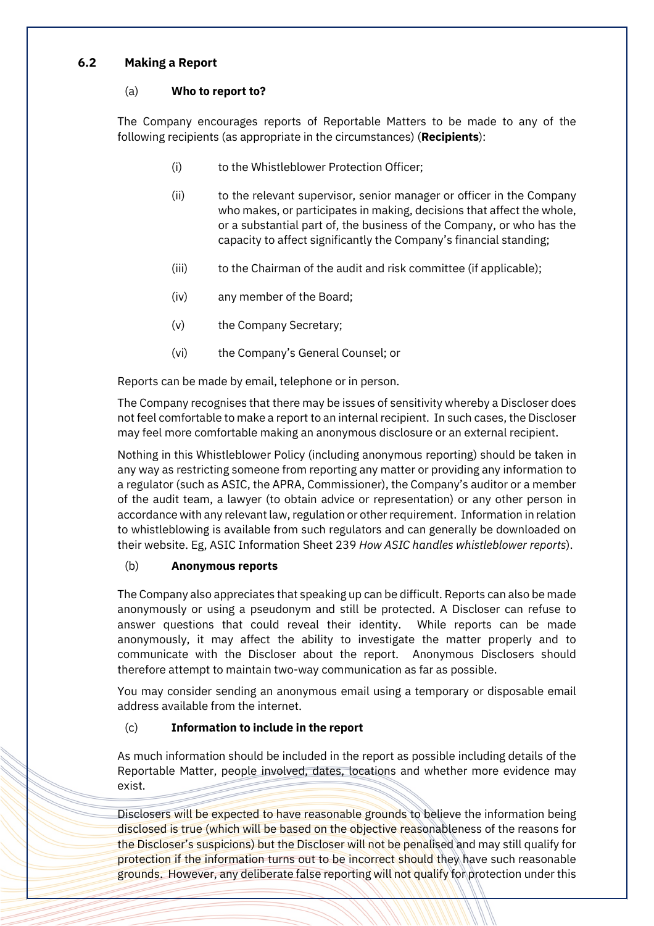## <span id="page-4-1"></span><span id="page-4-0"></span>**6.2 Making a Report**

#### (a) **Who to report to?**

The Company encourages reports of Reportable Matters to be made to any of the following recipients (as appropriate in the circumstances) (**Recipients**):

- (i) to the Whistleblower Protection Officer;
- (ii) to the relevant supervisor, senior manager or officer in the Company who makes, or participates in making, decisions that affect the whole, or a substantial part of, the business of the Company, or who has the capacity to affect significantly the Company's financial standing;
- (iii) to the Chairman of the audit and risk committee (if applicable);
- (iv) any member of the Board;
- (v) the Company Secretary;
- (vi) the Company's General Counsel; or

Reports can be made by email, telephone or in person.

The Company recognises that there may be issues of sensitivity whereby a Discloser does not feel comfortable to make a report to an internal recipient. In such cases, the Discloser may feel more comfortable making an anonymous disclosure or an external recipient.

Nothing in this Whistleblower Policy (including anonymous reporting) should be taken in any way as restricting someone from reporting any matter or providing any information to a regulator (such as ASIC, the APRA, Commissioner), the Company's auditor or a member of the audit team, a lawyer (to obtain advice or representation) or any other person in accordance with any relevant law, regulation or other requirement. Information in relation to whistleblowing is available from such regulators and can generally be downloaded on their website. Eg, ASIC Information Sheet 239 *How ASIC handles whistleblower reports*).

#### (b) **Anonymous reports**

The Company also appreciates that speaking up can be difficult. Reports can also be made anonymously or using a pseudonym and still be protected. A Discloser can refuse to answer questions that could reveal their identity. While reports can be made anonymously, it may affect the ability to investigate the matter properly and to communicate with the Discloser about the report. Anonymous Disclosers should therefore attempt to maintain two-way communication as far as possible.

You may consider sending an anonymous email using a temporary or disposable email address available from the internet.

# (c) **Information to include in the report**

As much information should be included in the report as possible including details of the Reportable Matter, people involved, dates, locations and whether more evidence may exist.

Disclosers will be expected to have reasonable grounds to believe the information being disclosed is true (which will be based on the objective reasonableness of the reasons for the Discloser's suspicions) but the Discloser will not be penalised and may still qualify for protection if the information turns out to be incorrect should they have such reasonable grounds. However, any deliberate false reporting will not qualify for protection under this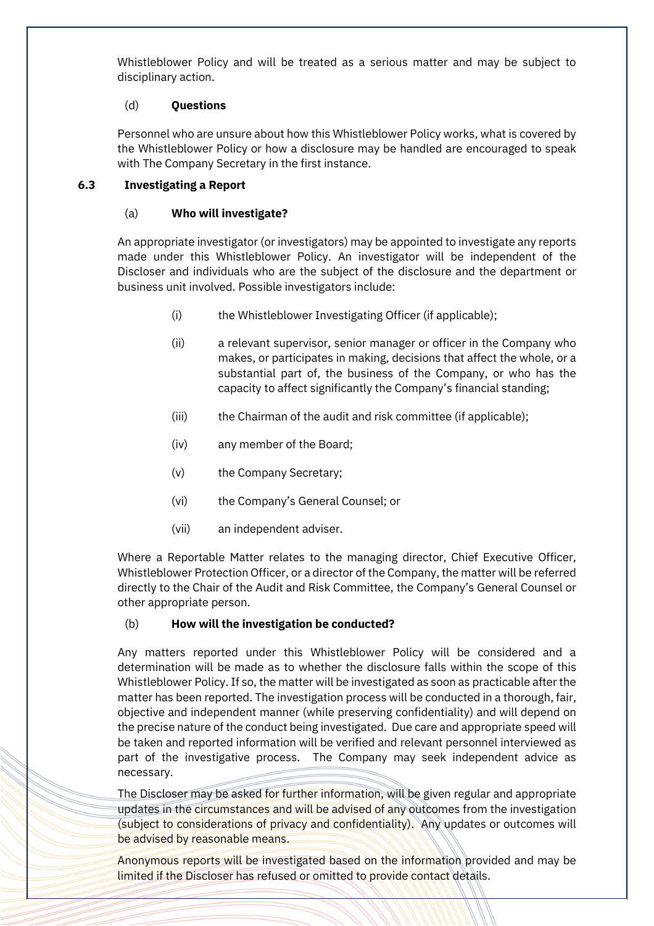Whistleblower Policy and will be treated as a serious matter and may be subject to disciplinary action.

#### (d) **Questions**

Personnel who are unsure about how this Whistleblower Policy works, what is covered by the Whistleblower Policy or how a disclosure may be handled are encouraged to speak with The Company Secretary in the first instance.

#### **6.3 Investigating a Report**

## (a) **Who will investigate?**

An appropriate investigator (or investigators) may be appointed to investigate any reports made under this Whistleblower Policy. An investigator will be independent of the Discloser and individuals who are the subject of the disclosure and the department or business unit involved. Possible investigators include:

- (i) the Whistleblower Investigating Officer (if applicable);
- (ii) a relevant supervisor, senior manager or officer in the Company who makes, or participates in making, decisions that affect the whole, or a substantial part of, the business of the Company, or who has the capacity to affect significantly the Company's financial standing;
- (iii) the Chairman of the audit and risk committee (if applicable);
- (iv) any member of the Board;
- (v) the Company Secretary;
- (vi) the Company's General Counsel; or
- (vii) an independent adviser.

Where a Reportable Matter relates to the managing director, Chief Executive Officer, Whistleblower Protection Officer, or a director of the Company, the matter will be referred directly to the Chair of the Audit and Risk Committee, the Company's General Counsel or other appropriate person.

#### (b) **How will the investigation be conducted?**

Any matters reported under this Whistleblower Policy will be considered and a determination will be made as to whether the disclosure falls within the scope of this Whistleblower Policy. If so, the matter will be investigated as soon as practicable after the matter has been reported. The investigation process will be conducted in a thorough, fair, objective and independent manner (while preserving confidentiality) and will depend on the precise nature of the conduct being investigated. Due care and appropriate speed will be taken and reported information will be verified and relevant personnel interviewed as part of the investigative process. The Company may seek independent advice as necessary.

The Discloser may be asked for further information, will be given regular and appropriate updates in the circumstances and will be advised of any outcomes from the investigation (subject to considerations of privacy and confidentiality). Any updates or outcomes will be advised by reasonable means.

Anonymous reports will be investigated based on the information provided and may be limited if the Discloser has refused or omitted to provide contact details.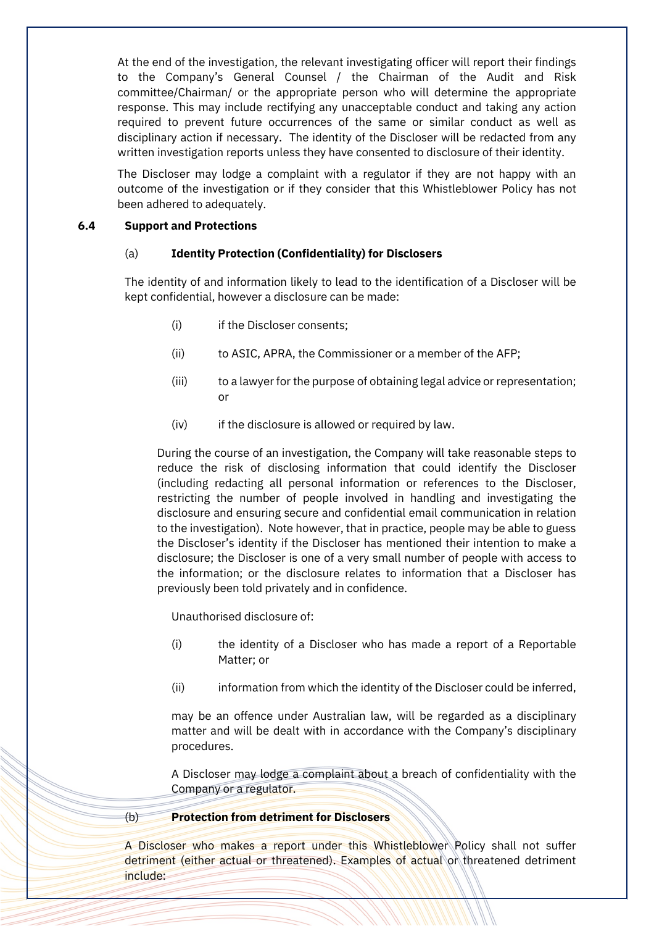At the end of the investigation, the relevant investigating officer will report their findings to the Company's General Counsel / the Chairman of the Audit and Risk committee/Chairman/ or the appropriate person who will determine the appropriate response. This may include rectifying any unacceptable conduct and taking any action required to prevent future occurrences of the same or similar conduct as well as disciplinary action if necessary. The identity of the Discloser will be redacted from any written investigation reports unless they have consented to disclosure of their identity.

The Discloser may lodge a complaint with a regulator if they are not happy with an outcome of the investigation or if they consider that this Whistleblower Policy has not been adhered to adequately.

#### **6.4 Support and Protections**

#### (a) **Identity Protection (Confidentiality) for Disclosers**

The identity of and information likely to lead to the identification of a Discloser will be kept confidential, however a disclosure can be made:

- (i) if the Discloser consents;
- (ii) to ASIC, APRA, the Commissioner or a member of the AFP;
- (iii) to a lawyer for the purpose of obtaining legal advice or representation; or
- (iv) if the disclosure is allowed or required by law.

During the course of an investigation, the Company will take reasonable steps to reduce the risk of disclosing information that could identify the Discloser (including redacting all personal information or references to the Discloser, restricting the number of people involved in handling and investigating the disclosure and ensuring secure and confidential email communication in relation to the investigation). Note however, that in practice, people may be able to guess the Discloser's identity if the Discloser has mentioned their intention to make a disclosure; the Discloser is one of a very small number of people with access to the information; or the disclosure relates to information that a Discloser has previously been told privately and in confidence.

Unauthorised disclosure of:

- (i) the identity of a Discloser who has made a report of a Reportable Matter; or
- (ii) information from which the identity of the Discloser could be inferred,

may be an offence under Australian law, will be regarded as a disciplinary matter and will be dealt with in accordance with the Company's disciplinary procedures.

A Discloser may lodge a complaint about a breach of confidentiality with the Company or a regulator.

#### (b) **Protection from detriment for Disclosers**

A Discloser who makes a report under this Whistleblower Policy shall not suffer detriment (either actual or threatened). Examples of actual or threatened detriment include: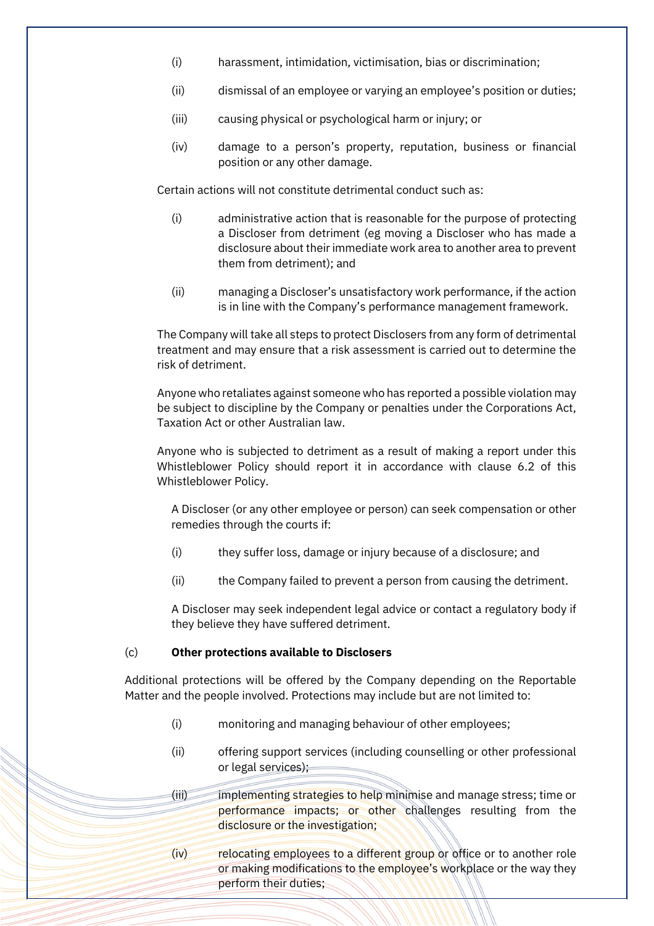- (i) harassment, intimidation, victimisation, bias or discrimination;
- (ii) dismissal of an employee or varying an employee's position or duties;
- (iii) causing physical or psychological harm or injury; or
- (iv) damage to a person's property, reputation, business or financial position or any other damage.

Certain actions will not constitute detrimental conduct such as:

- (i) administrative action that is reasonable for the purpose of protecting a Discloser from detriment (eg moving a Discloser who has made a disclosure about their immediate work area to another area to prevent them from detriment); and
- (ii) managing a Discloser's unsatisfactory work performance, if the action is in line with the Company's performance management framework.

The Company will take all steps to protect Disclosers from any form of detrimental treatment and may ensure that a risk assessment is carried out to determine the risk of detriment.

Anyone who retaliates against someone who has reported a possible violation may be subject to discipline by the Company or penalties under the Corporations Act, Taxation Act or other Australian law.

Anyone who is subjected to detriment as a result of making a report under this Whistleblower Policy should report it in accordance with clause [6.2](#page-4-1) of this Whistleblower Policy.

A Discloser (or any other employee or person) can seek compensation or other remedies through the courts if:

- (i) they suffer loss, damage or injury because of a disclosure; and
- (ii) the Company failed to prevent a person from causing the detriment.

A Discloser may seek independent legal advice or contact a regulatory body if they believe they have suffered detriment.

#### (c) **Other protections available to Disclosers**

Additional protections will be offered by the Company depending on the Reportable Matter and the people involved. Protections may include but are not limited to:

- (i) monitoring and managing behaviour of other employees;
- (ii) offering support services (including counselling or other professional or legal services);
- (iii) implementing strategies to help minimise and manage stress; time or performance impacts; or other challenges resulting from the disclosure or the investigation;
- (iv) relocating employees to a different group or office or to another role or making modifications to the employee's workplace or the way they perform their duties;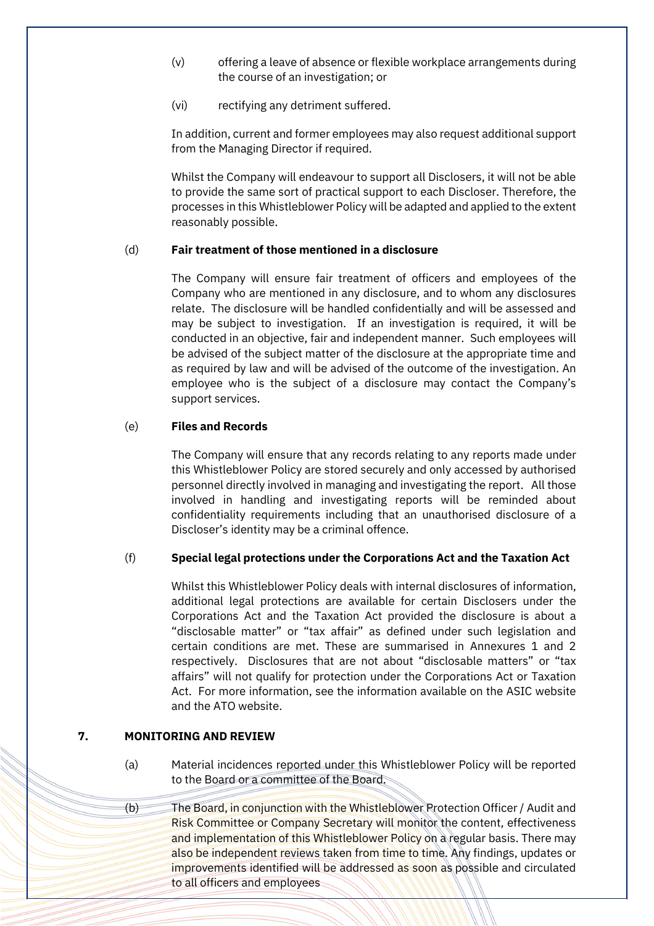- (v) offering a leave of absence or flexible workplace arrangements during the course of an investigation; or
- (vi) rectifying any detriment suffered.

In addition, current and former employees may also request additional support from the Managing Director if required.

Whilst the Company will endeavour to support all Disclosers, it will not be able to provide the same sort of practical support to each Discloser. Therefore, the processes in this Whistleblower Policy will be adapted and applied to the extent reasonably possible.

#### (d) **Fair treatment of those mentioned in a disclosure**

The Company will ensure fair treatment of officers and employees of the Company who are mentioned in any disclosure, and to whom any disclosures relate. The disclosure will be handled confidentially and will be assessed and may be subject to investigation. If an investigation is required, it will be conducted in an objective, fair and independent manner. Such employees will be advised of the subject matter of the disclosure at the appropriate time and as required by law and will be advised of the outcome of the investigation. An employee who is the subject of a disclosure may contact the Company's support services.

## (e) **Files and Records**

The Company will ensure that any records relating to any reports made under this Whistleblower Policy are stored securely and only accessed by authorised personnel directly involved in managing and investigating the report. All those involved in handling and investigating reports will be reminded about confidentiality requirements including that an unauthorised disclosure of a Discloser's identity may be a criminal offence.

# (f) **Special legal protections under the Corporations Act and the Taxation Act**

Whilst this Whistleblower Policy deals with internal disclosures of information, additional legal protections are available for certain Disclosers under the Corporations Act and the Taxation Act provided the disclosure is about a "disclosable matter" or "tax affair" as defined under such legislation and certain conditions are met. These are summarised in Annexures 1 and 2 respectively. Disclosures that are not about "disclosable matters" or "tax affairs" will not qualify for protection under the Corporations Act or Taxation Act. For more information, see the information available on the ASIC website and the ATO website.

#### **7. MONITORING AND REVIEW**

- (a) Material incidences reported under this Whistleblower Policy will be reported to the Board or a committee of the Board.
- (b) The Board, in conjunction with the Whistleblower Protection Officer / Audit and Risk Committee or Company Secretary will monitor the content, effectiveness and implementation of this Whistleblower Policy on a regular basis. There may also be independent reviews taken from time to time. Any findings, updates or improvements identified will be addressed as soon as possible and circulated to all officers and employees